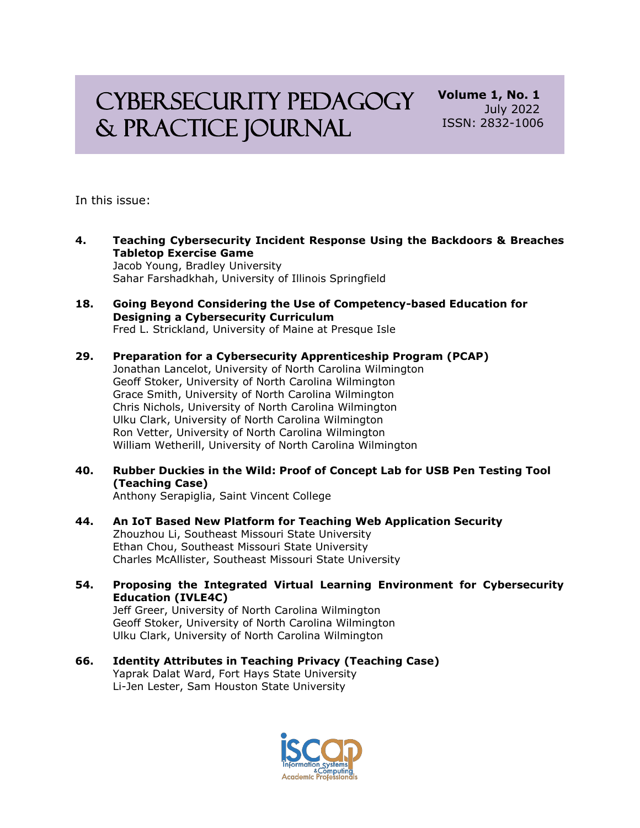# CYBERSECURITY PEDAGOGY & Practice Journal

**Volume 1, No. 1** July 2022 ISSN: 2832-1006

In this issue:

- **4. Teaching Cybersecurity Incident Response Using the Backdoors & Breaches Tabletop Exercise Game** Jacob Young, Bradley University Sahar Farshadkhah, University of Illinois Springfield
- **18. Going Beyond Considering the Use of Competency-based Education for Designing a Cybersecurity Curriculum** Fred L. Strickland, University of Maine at Presque Isle
- **29. Preparation for a Cybersecurity Apprenticeship Program (PCAP)** Jonathan Lancelot, University of North Carolina Wilmington Geoff Stoker, University of North Carolina Wilmington Grace Smith, University of North Carolina Wilmington Chris Nichols, University of North Carolina Wilmington Ulku Clark, University of North Carolina Wilmington Ron Vetter, University of North Carolina Wilmington William Wetherill, University of North Carolina Wilmington
- **40. Rubber Duckies in the Wild: Proof of Concept Lab for USB Pen Testing Tool (Teaching Case)** Anthony Serapiglia, Saint Vincent College
- **44. An IoT Based New Platform for Teaching Web Application Security** Zhouzhou Li, Southeast Missouri State University Ethan Chou, Southeast Missouri State University Charles McAllister, Southeast Missouri State University
- **54. Proposing the Integrated Virtual Learning Environment for Cybersecurity Education (IVLE4C)** Jeff Greer, University of North Carolina Wilmington Geoff Stoker, University of North Carolina Wilmington Ulku Clark, University of North Carolina Wilmington
- **66. Identity Attributes in Teaching Privacy (Teaching Case)** Yaprak Dalat Ward, Fort Hays State University Li-Jen Lester, Sam Houston State University

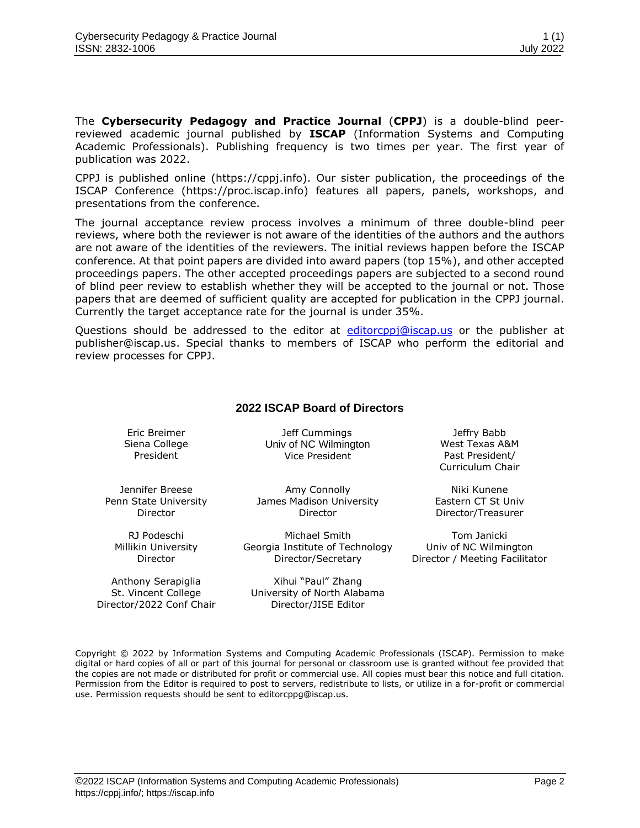The **Cybersecurity Pedagogy and Practice Journal** (**CPPJ**) is a double-blind peerreviewed academic journal published by **ISCAP** (Information Systems and Computing Academic Professionals). Publishing frequency is two times per year. The first year of publication was 2022.

CPPJ is published online (https://cppj.info). Our sister publication, the proceedings of the ISCAP Conference (https://proc.iscap.info) features all papers, panels, workshops, and presentations from the conference.

The journal acceptance review process involves a minimum of three double-blind peer reviews, where both the reviewer is not aware of the identities of the authors and the authors are not aware of the identities of the reviewers. The initial reviews happen before the ISCAP conference. At that point papers are divided into award papers (top 15%), and other accepted proceedings papers. The other accepted proceedings papers are subjected to a second round of blind peer review to establish whether they will be accepted to the journal or not. Those papers that are deemed of sufficient quality are accepted for publication in the CPPJ journal. Currently the target acceptance rate for the journal is under 35%.

Questions should be addressed to the editor at [editorcppj@iscap.us](mailto:editorcppj@iscap.us) or the publisher at [publisher@iscap.us.](mailto:publisher@iscap.us) Special thanks to members of ISCAP who perform the editorial and review processes for CPPJ.

#### **2022 ISCAP Board of Directors**

Eric Breimer Siena College President

Jeff Cummings Univ of NC Wilmington Vice President

Jennifer Breese Penn State University Director

RJ Podeschi Millikin University Director

Anthony Serapiglia St. Vincent College Director/2022 Conf Chair

Amy Connolly James Madison University Director

Michael Smith Georgia Institute of Technology Director/Secretary

Xihui "Paul" Zhang University of North Alabama Director/JISE Editor

Jeffry Babb West Texas A&M Past President/ Curriculum Chair

Niki Kunene Eastern CT St Univ Director/Treasurer

Tom Janicki Univ of NC Wilmington Director / Meeting Facilitator

Copyright © 2022 by Information Systems and Computing Academic Professionals (ISCAP). Permission to make digital or hard copies of all or part of this journal for personal or classroom use is granted without fee provided that the copies are not made or distributed for profit or commercial use. All copies must bear this notice and full citation. Permission from the Editor is required to post to servers, redistribute to lists, or utilize in a for-profit or commercial use. Permission requests should be sent to editorcppg@iscap.us.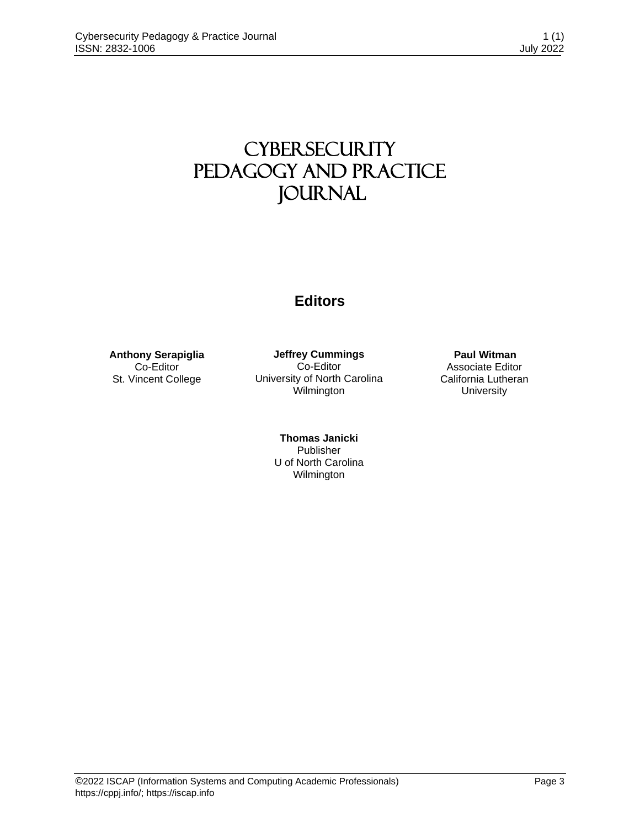## **CYBERSECURITY** Pedagogy and Practice **JOURNAL**

## **Editors**

**Anthony Serapiglia** Co-Editor St. Vincent College

**Jeffrey Cummings** Co-Editor University of North Carolina Wilmington

> **Thomas Janicki** Publisher U of North Carolina Wilmington

**Paul Witman** Associate Editor California Lutheran **University**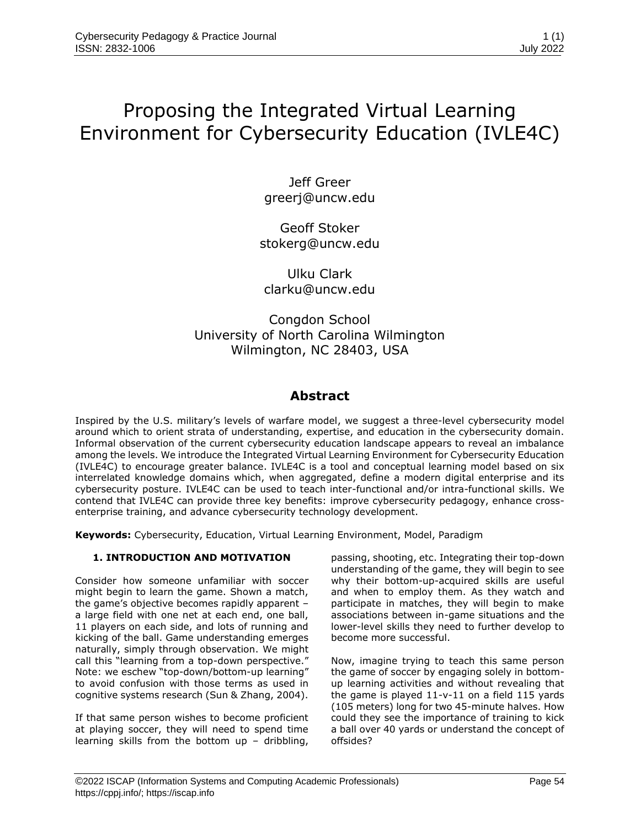## Proposing the Integrated Virtual Learning Environment for Cybersecurity Education (IVLE4C)

Jeff Greer greerj@uncw.edu

Geoff Stoker stokerg@uncw.edu

Ulku Clark clarku@uncw.edu

### Congdon School University of North Carolina Wilmington Wilmington, NC 28403, USA

### **Abstract**

Inspired by the U.S. military's levels of warfare model, we suggest a three-level cybersecurity model around which to orient strata of understanding, expertise, and education in the cybersecurity domain. Informal observation of the current cybersecurity education landscape appears to reveal an imbalance among the levels. We introduce the Integrated Virtual Learning Environment for Cybersecurity Education (IVLE4C) to encourage greater balance. IVLE4C is a tool and conceptual learning model based on six interrelated knowledge domains which, when aggregated, define a modern digital enterprise and its cybersecurity posture. IVLE4C can be used to teach inter-functional and/or intra-functional skills. We contend that IVLE4C can provide three key benefits: improve cybersecurity pedagogy, enhance crossenterprise training, and advance cybersecurity technology development.

**Keywords:** Cybersecurity, Education, Virtual Learning Environment, Model, Paradigm

#### **1. INTRODUCTION AND MOTIVATION**

Consider how someone unfamiliar with soccer might begin to learn the game. Shown a match, the game's objective becomes rapidly apparent – a large field with one net at each end, one ball, 11 players on each side, and lots of running and kicking of the ball. Game understanding emerges naturally, simply through observation. We might call this "learning from a top-down perspective." Note: we eschew "top-down/bottom-up learning" to avoid confusion with those terms as used in cognitive systems research (Sun & Zhang, 2004).

If that same person wishes to become proficient at playing soccer, they will need to spend time learning skills from the bottom up – dribbling,

passing, shooting, etc. Integrating their top-down understanding of the game, they will begin to see why their bottom-up-acquired skills are useful and when to employ them. As they watch and participate in matches, they will begin to make associations between in-game situations and the lower-level skills they need to further develop to become more successful.

Now, imagine trying to teach this same person the game of soccer by engaging solely in bottomup learning activities and without revealing that the game is played 11-v-11 on a field 115 yards (105 meters) long for two 45-minute halves. How could they see the importance of training to kick a ball over 40 yards or understand the concept of offsides?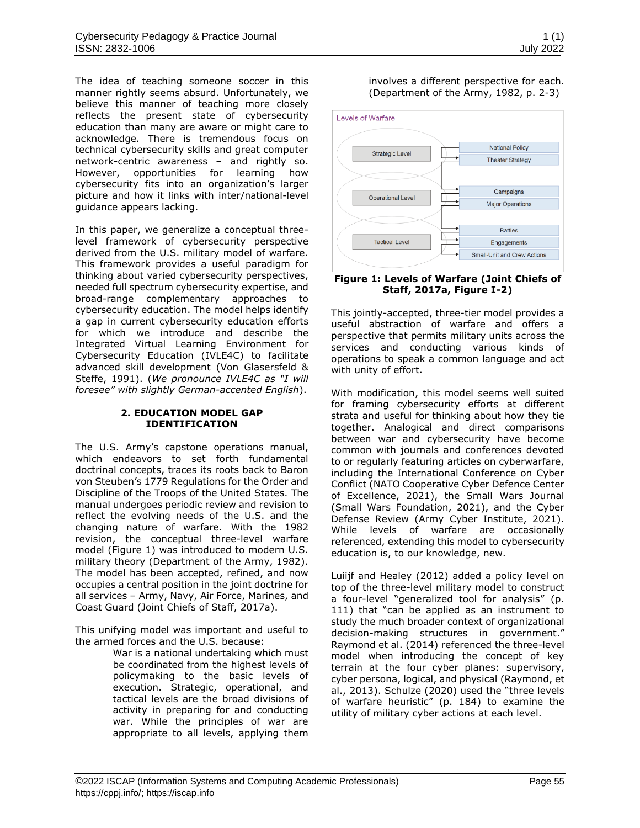The idea of teaching someone soccer in this manner rightly seems absurd. Unfortunately, we believe this manner of teaching more closely reflects the present state of cybersecurity education than many are aware or might care to acknowledge. There is tremendous focus on technical cybersecurity skills and great computer network-centric awareness – and rightly so. However, opportunities for learning how cybersecurity fits into an organization's larger picture and how it links with inter/national-level guidance appears lacking.

In this paper, we generalize a conceptual threelevel framework of cybersecurity perspective derived from the U.S. military model of warfare. This framework provides a useful paradigm for thinking about varied cybersecurity perspectives, needed full spectrum cybersecurity expertise, and broad-range complementary approaches to cybersecurity education. The model helps identify a gap in current cybersecurity education efforts for which we introduce and describe the Integrated Virtual Learning Environment for Cybersecurity Education (IVLE4C) to facilitate advanced skill development (Von Glasersfeld & Steffe, 1991). (*We pronounce IVLE4C as "I will foresee" with slightly German-accented English*).

#### **2. EDUCATION MODEL GAP IDENTIFICATION**

The U.S. Army's capstone operations manual, which endeavors to set forth fundamental doctrinal concepts, traces its roots back to Baron von Steuben's 1779 Regulations for the Order and Discipline of the Troops of the United States. The manual undergoes periodic review and revision to reflect the evolving needs of the U.S. and the changing nature of warfare. With the 1982 revision, the conceptual three-level warfare model (Figure 1) was introduced to modern U.S. military theory (Department of the Army, 1982). The model has been accepted, refined, and now occupies a central position in the joint doctrine for all services – Army, Navy, Air Force, Marines, and Coast Guard (Joint Chiefs of Staff, 2017a).

This unifying model was important and useful to the armed forces and the U.S. because:

War is a national undertaking which must be coordinated from the highest levels of policymaking to the basic levels of execution. Strategic, operational, and tactical levels are the broad divisions of activity in preparing for and conducting war. While the principles of war are appropriate to all levels, applying them

#### involves a different perspective for each. (Department of the Army, 1982, p. 2-3)



#### **Figure 1: Levels of Warfare (Joint Chiefs of Staff, 2017a, Figure I-2)**

This jointly-accepted, three-tier model provides a useful abstraction of warfare and offers a perspective that permits military units across the services and conducting various kinds of operations to speak a common language and act with unity of effort.

With modification, this model seems well suited for framing cybersecurity efforts at different strata and useful for thinking about how they tie together. Analogical and direct comparisons between war and cybersecurity have become common with journals and conferences devoted to or regularly featuring articles on cyberwarfare, including the International Conference on Cyber Conflict (NATO Cooperative Cyber Defence Center of Excellence, 2021), the Small Wars Journal (Small Wars Foundation, 2021), and the Cyber Defense Review (Army Cyber Institute, 2021). While levels of warfare are occasionally referenced, extending this model to cybersecurity education is, to our knowledge, new.

Luiijf and Healey (2012) added a policy level on top of the three-level military model to construct a four-level "generalized tool for analysis" (p. 111) that "can be applied as an instrument to study the much broader context of organizational decision-making structures in government." Raymond et al. (2014) referenced the three-level model when introducing the concept of key terrain at the four cyber planes: supervisory, cyber persona, logical, and physical (Raymond, et al., 2013). Schulze (2020) used the "three levels of warfare heuristic" (p. 184) to examine the utility of military cyber actions at each level.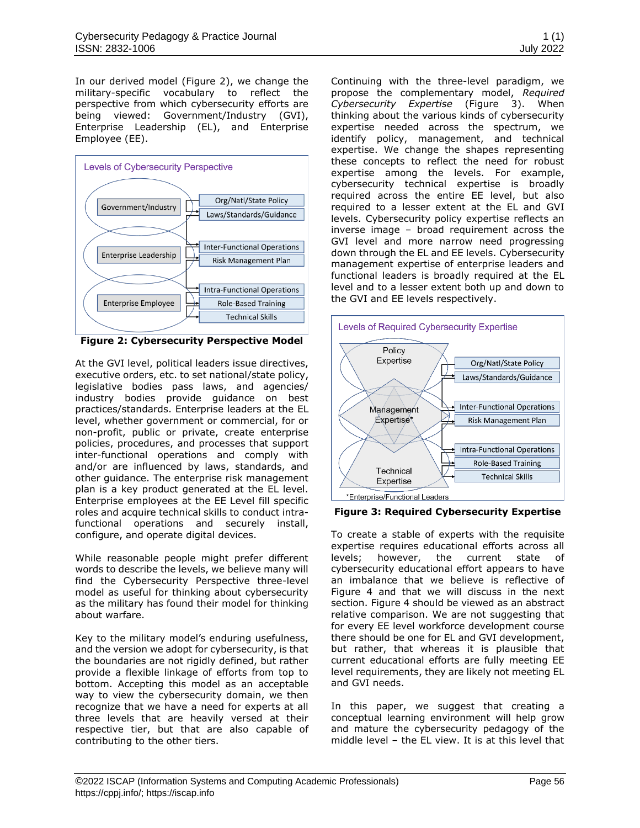In our derived model (Figure 2), we change the military-specific vocabulary to reflect the perspective from which cybersecurity efforts are being viewed: Government/Industry (GVI), Enterprise Leadership (EL), and Enterprise Employee (EE).



<span id="page-5-0"></span>**Figure 2: Cybersecurity Perspective Model**

At the GVI level, political leaders issue directives, executive orders, etc. to set national/state policy, legislative bodies pass laws, and agencies/ industry bodies provide guidance on best practices/standards. Enterprise leaders at the EL level, whether government or commercial, for or non-profit, public or private, create enterprise policies, procedures, and processes that support inter-functional operations and comply with and/or are influenced by laws, standards, and other guidance. The enterprise risk management plan is a key product generated at the EL level. Enterprise employees at the EE Level fill specific roles and acquire technical skills to conduct intrafunctional operations and securely install, configure, and operate digital devices.

While reasonable people might prefer different words to describe the levels, we believe many will find the Cybersecurity Perspective three-level model as useful for thinking about cybersecurity as the military has found their model for thinking about warfare.

Key to the military model's enduring usefulness, and the version we adopt for cybersecurity, is that the boundaries are not rigidly defined, but rather provide a flexible linkage of efforts from top to bottom. Accepting this model as an acceptable way to view the cybersecurity domain, we then recognize that we have a need for experts at all three levels that are heavily versed at their respective tier, but that are also capable of contributing to the other tiers.

Continuing with the three-level paradigm, we propose the complementary model, *Required Cybersecurity Expertise* (Figure 3). When thinking about the various kinds of cybersecurity expertise needed across the spectrum, we identify policy, management, and technical expertise. We change the shapes representing these concepts to reflect the need for robust expertise among the levels. For example, cybersecurity technical expertise is broadly required across the entire EE level, but also required to a lesser extent at the EL and GVI levels. Cybersecurity policy expertise reflects an inverse image – broad requirement across the GVI level and more narrow need progressing down through the EL and EE levels. Cybersecurity management expertise of enterprise leaders and functional leaders is broadly required at the EL level and to a lesser extent both up and down to the GVI and EE levels respectively.



<span id="page-5-1"></span>**Figure 3: Required Cybersecurity Expertise**

To create a stable of experts with the requisite expertise requires educational efforts across all levels; however, the current state of cybersecurity educational effort appears to have an imbalance that we believe is reflective of Figure 4 and that we will discuss in the next section. Figure 4 should be viewed as an abstract relative comparison. We are not suggesting that for every EE level workforce development course there should be one for EL and GVI development, but rather, that whereas it is plausible that current educational efforts are fully meeting EE level requirements, they are likely not meeting EL and GVI needs.

In this paper, we suggest that creating a conceptual learning environment will help grow and mature the cybersecurity pedagogy of the middle level – the EL view. It is at this level that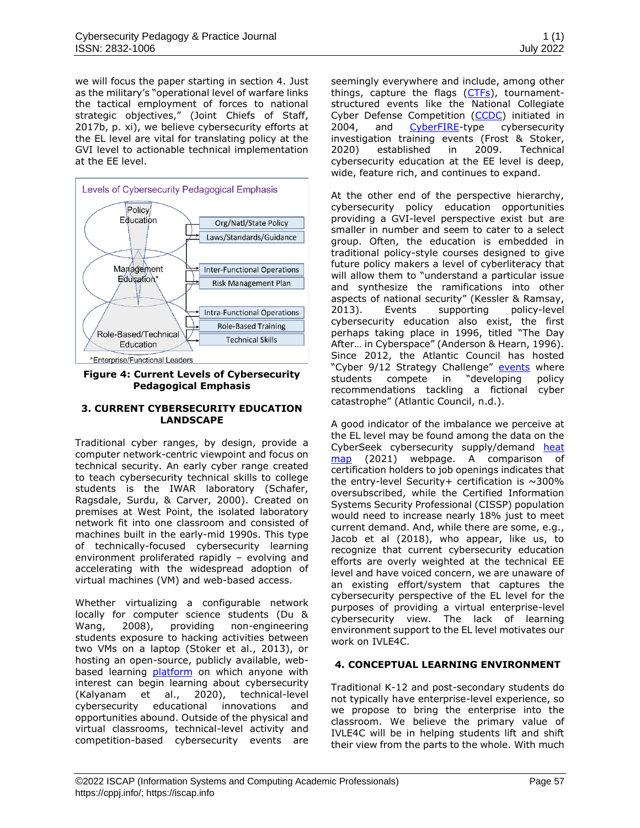we will focus the paper starting in section 4. Just as the military's "operational level of warfare links the tactical employment of forces to national strategic objectives," (Joint Chiefs of Staff, 2017b, p. xi), we believe cybersecurity efforts at the EL level are vital for translating policy at the GVI level to actionable technical implementation at the EE level.



<span id="page-6-0"></span>**Figure 4: Current Levels of Cybersecurity Pedagogical Emphasis** 

#### **3. CURRENT CYBERSECURITY EDUCATION LANDSCAPE**

Traditional cyber ranges, by design, provide a computer network-centric viewpoint and focus on technical security. An early cyber range created to teach cybersecurity technical skills to college students is the IWAR laboratory (Schafer, Ragsdale, Surdu, & Carver, 2000). Created on premises at West Point, the isolated laboratory network fit into one classroom and consisted of machines built in the early-mid 1990s. This type of technically-focused cybersecurity learning environment proliferated rapidly – evolving and accelerating with the widespread adoption of virtual machines (VM) and web-based access.

Whether virtualizing a configurable network locally for computer science students (Du & Wang, 2008), providing non-engineering students exposure to hacking activities between two VMs on a laptop (Stoker et al., 2013), or hosting an open-source, publicly available, webbased learning [platform](https://docs.cheesehub.org/en/latest/) on which anyone with interest can begin learning about cybersecurity (Kalyanam et al., 2020), technical-level cybersecurity educational innovations and opportunities abound. Outside of the physical and virtual classrooms, technical-level activity and competition-based cybersecurity events are seemingly everywhere and include, among other things, capture the flags  $(CTFs)$ , tournamentstructured events like the National Collegiate Cyber Defense Competition [\(CCDC\)](https://www.nationalccdc.org/) initiated in 2004, and [CyberFIRE-](https://cyberfire.training/)type cybersecurity investigation training events (Frost & Stoker, 2020) established in 2009. Technical cybersecurity education at the EE level is deep, wide, feature rich, and continues to expand.

At the other end of the perspective hierarchy, cybersecurity policy education opportunities providing a GVI-level perspective exist but are smaller in number and seem to cater to a select group. Often, the education is embedded in traditional policy-style courses designed to give future policy makers a level of cyberliteracy that will allow them to "understand a particular issue and synthesize the ramifications into other aspects of national security" (Kessler & Ramsay, 2013). Events supporting policy-level cybersecurity education also exist, the first perhaps taking place in 1996, titled "The Day After… in Cyberspace" (Anderson & Hearn, 1996). Since 2012, the Atlantic Council has hosted "Cyber 9/12 Strategy Challenge" [events](https://www.atlanticcouncil.org/programs/scowcroft-center-for-strategy-and-security/cyber-statecraft-initiative/cyber-912/) where students compete in "developing policy recommendations tackling a fictional cyber catastrophe" (Atlantic Council, n.d.).

A good indicator of the imbalance we perceive at the EL level may be found among the data on the CyberSeek cybersecurity supply/demand heat [map](https://www.cyberseek.org/heatmap.html) (2021) webpage. A comparison of certification holders to job openings indicates that the entry-level Security+ certification is  $\sim$ 300% oversubscribed, while the Certified Information Systems Security Professional (CISSP) population would need to increase nearly 18% just to meet current demand. And, while there are some, e.g., Jacob et al (2018), who appear, like us, to recognize that current cybersecurity education efforts are overly weighted at the technical EE level and have voiced concern, we are unaware of an existing effort/system that captures the cybersecurity perspective of the EL level for the purposes of providing a virtual enterprise-level cybersecurity view. The lack of learning environment support to the EL level motivates our work on IVLE4C.

#### **4. CONCEPTUAL LEARNING ENVIRONMENT**

Traditional K-12 and post-secondary students do not typically have enterprise-level experience, so we propose to bring the enterprise into the classroom. We believe the primary value of IVLE4C will be in helping students lift and shift their view from the parts to the whole. With much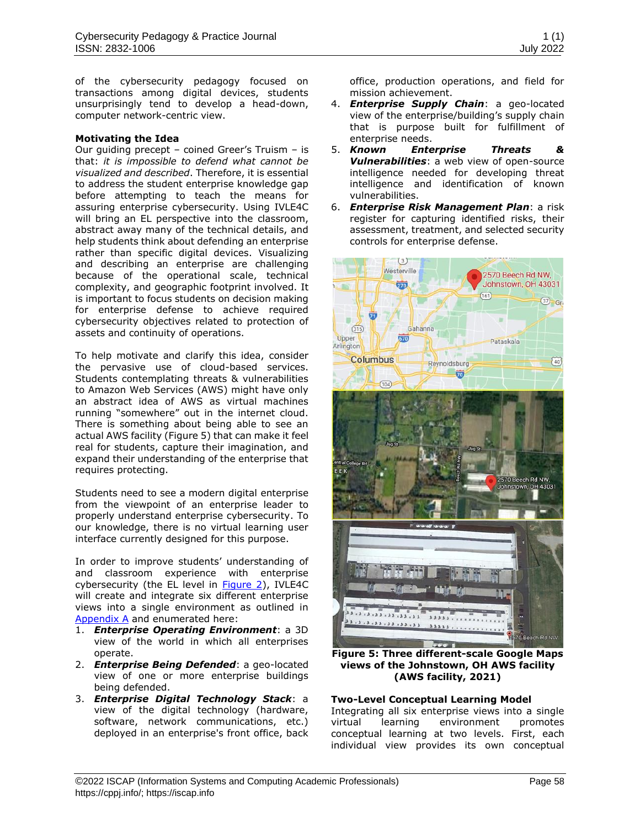of the cybersecurity pedagogy focused on transactions among digital devices, students unsurprisingly tend to develop a head-down, computer network-centric view.

#### **Motivating the Idea**

Our guiding precept – coined Greer's Truism – is that: *it is impossible to defend what cannot be visualized and described*. Therefore, it is essential to address the student enterprise knowledge gap before attempting to teach the means for assuring enterprise cybersecurity. Using IVLE4C will bring an EL perspective into the classroom, abstract away many of the technical details, and help students think about defending an enterprise rather than specific digital devices. Visualizing and describing an enterprise are challenging because of the operational scale, technical complexity, and geographic footprint involved. It is important to focus students on decision making for enterprise defense to achieve required cybersecurity objectives related to protection of assets and continuity of operations.

To help motivate and clarify this idea, consider the pervasive use of cloud-based services. Students contemplating threats & vulnerabilities to Amazon Web Services (AWS) might have only an abstract idea of AWS as virtual machines running "somewhere" out in the internet cloud. There is something about being able to see an actual AWS facility (Figure 5) that can make it feel real for students, capture their imagination, and expand their understanding of the enterprise that requires protecting.

Students need to see a modern digital enterprise from the viewpoint of an enterprise leader to properly understand enterprise cybersecurity. To our knowledge, there is no virtual learning user interface currently designed for this purpose.

In order to improve students' understanding of and classroom experience with enterprise cybersecurity (the EL level in [Figure 2\)](#page-5-0), IVLE4C will create and integrate six different enterprise views into a single environment as outlined in [Appendix A](#page-13-0) and enumerated here:

- 1. *Enterprise Operating Environment*: a 3D view of the world in which all enterprises operate.
- 2. *Enterprise Being Defended*: a geo-located view of one or more enterprise buildings being defended.
- 3. *Enterprise Digital Technology Stack*: a view of the digital technology (hardware, software, network communications, etc.) deployed in an enterprise's front office, back

office, production operations, and field for mission achievement.

- 4. *Enterprise Supply Chain*: a geo-located view of the enterprise/building's supply chain that is purpose built for fulfillment of enterprise needs.
- 5. *Known Enterprise Threats & Vulnerabilities*: a web view of open-source intelligence needed for developing threat intelligence and identification of known vulnerabilities.
- 6. *Enterprise Risk Management Plan*: a risk register for capturing identified risks, their assessment, treatment, and selected security controls for enterprise defense.



**Figure 5: Three different-scale Google Maps views of the Johnstown, OH AWS facility (AWS facility, 2021)**

#### **Two-Level Conceptual Learning Model**

Integrating all six enterprise views into a single virtual learning environment promotes conceptual learning at two levels. First, each individual view provides its own conceptual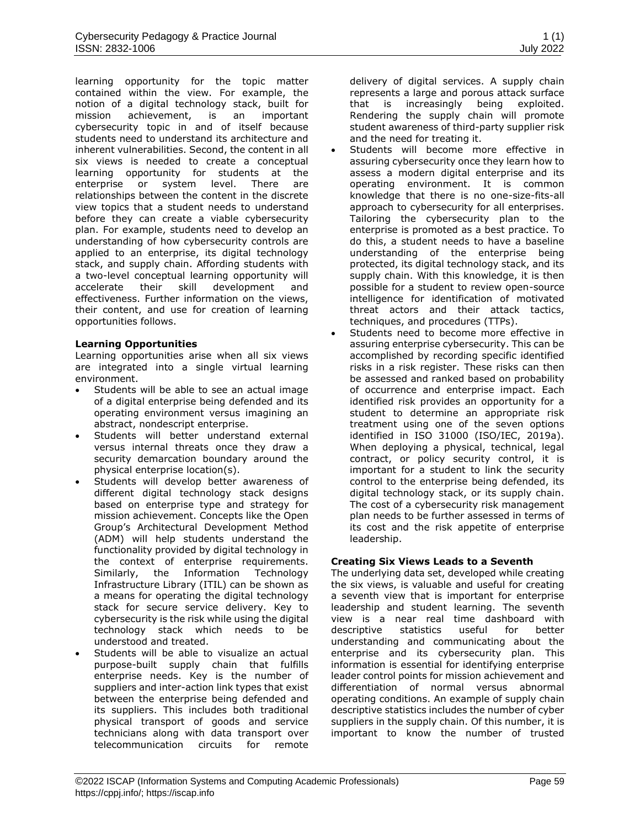learning opportunity for the topic matter contained within the view. For example, the notion of a digital technology stack, built for mission achievement, is an important cybersecurity topic in and of itself because students need to understand its architecture and inherent vulnerabilities. Second, the content in all six views is needed to create a conceptual learning opportunity for students at the enterprise or system level. There are relationships between the content in the discrete view topics that a student needs to understand before they can create a viable cybersecurity plan. For example, students need to develop an understanding of how cybersecurity controls are applied to an enterprise, its digital technology stack, and supply chain. Affording students with a two-level conceptual learning opportunity will accelerate their skill development and effectiveness. Further information on the views, their content, and use for creation of learning opportunities follows.

#### **Learning Opportunities**

Learning opportunities arise when all six views are integrated into a single virtual learning environment.

- Students will be able to see an actual image of a digital enterprise being defended and its operating environment versus imagining an abstract, nondescript enterprise.
- Students will better understand external versus internal threats once they draw a security demarcation boundary around the physical enterprise location(s).
- Students will develop better awareness of different digital technology stack designs based on enterprise type and strategy for mission achievement. Concepts like the Open Group's Architectural Development Method (ADM) will help students understand the functionality provided by digital technology in the context of enterprise requirements. Similarly, the Information Technology Infrastructure Library (ITIL) can be shown as a means for operating the digital technology stack for secure service delivery. Key to cybersecurity is the risk while using the digital technology stack which needs to be understood and treated.
- Students will be able to visualize an actual purpose-built supply chain that fulfills enterprise needs. Key is the number of suppliers and inter-action link types that exist between the enterprise being defended and its suppliers. This includes both traditional physical transport of goods and service technicians along with data transport over telecommunication circuits for remote

delivery of digital services. A supply chain represents a large and porous attack surface that is increasingly being exploited. Rendering the supply chain will promote student awareness of third-party supplier risk and the need for treating it.

- Students will become more effective in assuring cybersecurity once they learn how to assess a modern digital enterprise and its operating environment. It is common knowledge that there is no one-size-fits-all approach to cybersecurity for all enterprises. Tailoring the cybersecurity plan to the enterprise is promoted as a best practice. To do this, a student needs to have a baseline understanding of the enterprise being protected, its digital technology stack, and its supply chain. With this knowledge, it is then possible for a student to review open-source intelligence for identification of motivated threat actors and their attack tactics, techniques, and procedures (TTPs).
- Students need to become more effective in assuring enterprise cybersecurity. This can be accomplished by recording specific identified risks in a risk register. These risks can then be assessed and ranked based on probability of occurrence and enterprise impact. Each identified risk provides an opportunity for a student to determine an appropriate risk treatment using one of the seven options identified in ISO 31000 (ISO/IEC, 2019a). When deploying a physical, technical, legal contract, or policy security control, it is important for a student to link the security control to the enterprise being defended, its digital technology stack, or its supply chain. The cost of a cybersecurity risk management plan needs to be further assessed in terms of its cost and the risk appetite of enterprise leadership.

#### **Creating Six Views Leads to a Seventh**

The underlying data set, developed while creating the six views, is valuable and useful for creating a seventh view that is important for enterprise leadership and student learning. The seventh view is a near real time dashboard with descriptive statistics useful for better understanding and communicating about the enterprise and its cybersecurity plan. This information is essential for identifying enterprise leader control points for mission achievement and differentiation of normal versus abnormal operating conditions. An example of supply chain descriptive statistics includes the number of cyber suppliers in the supply chain. Of this number, it is important to know the number of trusted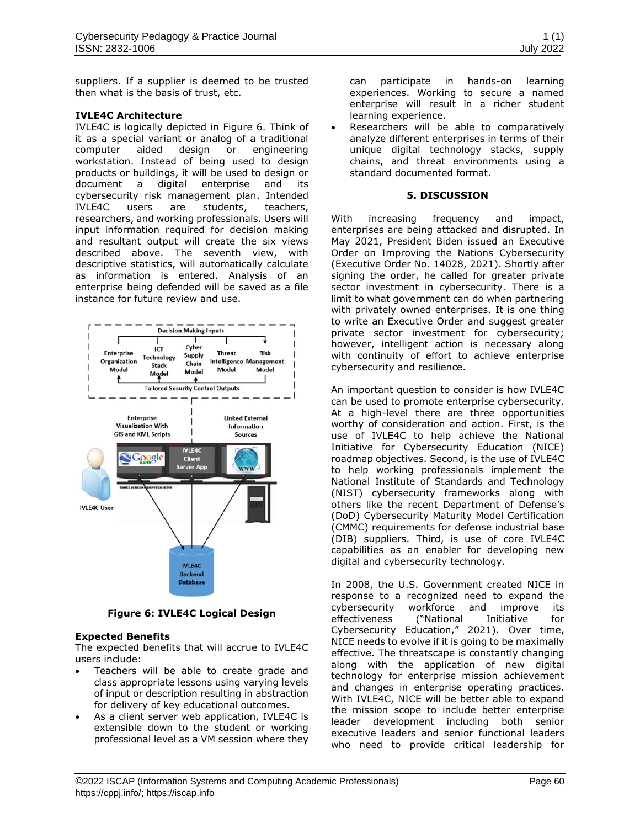suppliers. If a supplier is deemed to be trusted then what is the basis of trust, etc.

#### **IVLE4C Architecture**

IVLE4C is logically depicted in Figure 6. Think of it as a special variant or analog of a traditional computer aided design or engineering workstation. Instead of being used to design products or buildings, it will be used to design or document a digital enterprise and its cybersecurity risk management plan. Intended IVLE4C users are students, teachers, researchers, and working professionals. Users will input information required for decision making and resultant output will create the six views described above. The seventh view, with descriptive statistics, will automatically calculate as information is entered. Analysis of an enterprise being defended will be saved as a file instance for future review and use.



**Figure 6: IVLE4C Logical Design** 

#### **Expected Benefits**

The expected benefits that will accrue to IVLE4C users include:

- Teachers will be able to create grade and class appropriate lessons using varying levels of input or description resulting in abstraction for delivery of key educational outcomes.
- As a client server web application, IVLE4C is extensible down to the student or working professional level as a VM session where they

can participate in hands-on learning experiences. Working to secure a named enterprise will result in a richer student learning experience.

• Researchers will be able to comparatively analyze different enterprises in terms of their unique digital technology stacks, supply chains, and threat environments using a standard documented format.

#### **5. DISCUSSION**

With increasing frequency and impact, enterprises are being attacked and disrupted. In May 2021, President Biden issued an Executive Order on Improving the Nations Cybersecurity (Executive Order No. 14028, 2021). Shortly after signing the order, he called for greater private sector investment in cybersecurity. There is a limit to what government can do when partnering with privately owned enterprises. It is one thing to write an Executive Order and suggest greater private sector investment for cybersecurity; however, intelligent action is necessary along with continuity of effort to achieve enterprise cybersecurity and resilience.

An important question to consider is how IVLE4C can be used to promote enterprise cybersecurity. At a high-level there are three opportunities worthy of consideration and action. First, is the use of IVLE4C to help achieve the National Initiative for Cybersecurity Education (NICE) roadmap objectives. Second, is the use of IVLE4C to help working professionals implement the National Institute of Standards and Technology (NIST) cybersecurity frameworks along with others like the recent Department of Defense's (DoD) Cybersecurity Maturity Model Certification (CMMC) requirements for defense industrial base (DIB) suppliers. Third, is use of core IVLE4C capabilities as an enabler for developing new digital and cybersecurity technology.

In 2008, the U.S. Government created NICE in response to a recognized need to expand the cybersecurity workforce and improve its effectiveness ("National Initiative for Cybersecurity Education," 2021). Over time, NICE needs to evolve if it is going to be maximally effective. The threatscape is constantly changing along with the application of new digital technology for enterprise mission achievement and changes in enterprise operating practices. With IVLE4C, NICE will be better able to expand the mission scope to include better enterprise leader development including both senior executive leaders and senior functional leaders who need to provide critical leadership for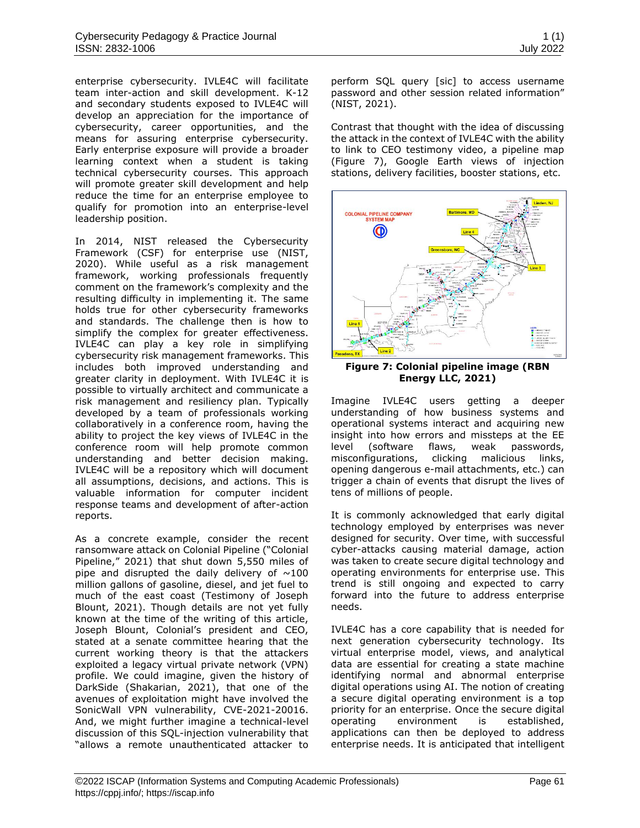enterprise cybersecurity. IVLE4C will facilitate team inter-action and skill development. K-12 and secondary students exposed to IVLE4C will develop an appreciation for the importance of cybersecurity, career opportunities, and the means for assuring enterprise cybersecurity. Early enterprise exposure will provide a broader learning context when a student is taking technical cybersecurity courses. This approach will promote greater skill development and help reduce the time for an enterprise employee to qualify for promotion into an enterprise-level leadership position.

In 2014, NIST released the Cybersecurity Framework (CSF) for enterprise use (NIST, 2020). While useful as a risk management framework, working professionals frequently comment on the framework's complexity and the resulting difficulty in implementing it. The same holds true for other cybersecurity frameworks and standards. The challenge then is how to simplify the complex for greater effectiveness. IVLE4C can play a key role in simplifying cybersecurity risk management frameworks. This includes both improved understanding and greater clarity in deployment. With IVLE4C it is possible to virtually architect and communicate a risk management and resiliency plan. Typically developed by a team of professionals working collaboratively in a conference room, having the ability to project the key views of IVLE4C in the conference room will help promote common understanding and better decision making. IVLE4C will be a repository which will document all assumptions, decisions, and actions. This is valuable information for computer incident response teams and development of after-action reports.

As a concrete example, consider the recent ransomware attack on Colonial Pipeline ("Colonial Pipeline," 2021) that shut down 5,550 miles of pipe and disrupted the daily delivery of  $\sim$ 100 million gallons of gasoline, diesel, and jet fuel to much of the east coast (Testimony of Joseph Blount, 2021). Though details are not yet fully known at the time of the writing of this article, Joseph Blount, Colonial's president and CEO, stated at a senate committee hearing that the current working theory is that the attackers exploited a legacy virtual private network (VPN) profile. We could imagine, given the history of DarkSide (Shakarian, 2021), that one of the avenues of exploitation might have involved the SonicWall VPN vulnerability, CVE-2021-20016. And, we might further imagine a technical-level discussion of this SQL-injection vulnerability that "allows a remote unauthenticated attacker to perform SQL query [sic] to access username password and other session related information" (NIST, 2021).

Contrast that thought with the idea of discussing the attack in the context of IVLE4C with the ability to link to CEO testimony video, a pipeline map (Figure 7), Google Earth views of injection stations, delivery facilities, booster stations, etc.



**Figure 7: Colonial pipeline image (RBN Energy LLC, 2021)**

Imagine IVLE4C users getting a deeper understanding of how business systems and operational systems interact and acquiring new insight into how errors and missteps at the EE level (software flaws, weak passwords, misconfigurations, clicking malicious links, opening dangerous e-mail attachments, etc.) can trigger a chain of events that disrupt the lives of tens of millions of people.

It is commonly acknowledged that early digital technology employed by enterprises was never designed for security. Over time, with successful cyber-attacks causing material damage, action was taken to create secure digital technology and operating environments for enterprise use. This trend is still ongoing and expected to carry forward into the future to address enterprise needs.

IVLE4C has a core capability that is needed for next generation cybersecurity technology. Its virtual enterprise model, views, and analytical data are essential for creating a state machine identifying normal and abnormal enterprise digital operations using AI. The notion of creating a secure digital operating environment is a top priority for an enterprise. Once the secure digital operating environment is established, applications can then be deployed to address enterprise needs. It is anticipated that intelligent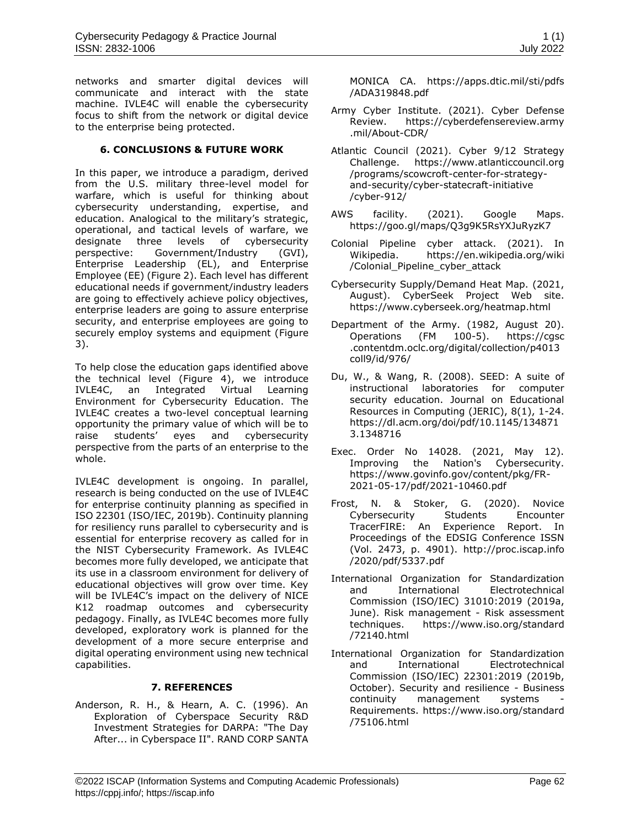networks and smarter digital devices will communicate and interact with the state machine. IVLE4C will enable the cybersecurity focus to shift from the network or digital device to the enterprise being protected.

#### **6. CONCLUSIONS & FUTURE WORK**

In this paper, we introduce a paradigm, derived from the U.S. military three-level model for warfare, which is useful for thinking about cybersecurity understanding, expertise, and education. Analogical to the military's strategic, operational, and tactical levels of warfare, we designate three levels of cybersecurity perspective: Government/Industry (GVI), Enterprise Leadership (EL), and Enterprise Employee (EE) [\(Figure 2\)](#page-5-0). Each level has different educational needs if government/industry leaders are going to effectively achieve policy objectives, enterprise leaders are going to assure enterprise security, and enterprise employees are going to securely employ systems and equipment [\(Figure](#page-5-1)  [3\)](#page-5-1).

To help close the education gaps identified above the technical level [\(Figure 4\)](#page-6-0), we introduce IVLE4C, an Integrated Virtual Learning Environment for Cybersecurity Education. The IVLE4C creates a two-level conceptual learning opportunity the primary value of which will be to raise students' eyes and cybersecurity perspective from the parts of an enterprise to the whole.

IVLE4C development is ongoing. In parallel, research is being conducted on the use of IVLE4C for enterprise continuity planning as specified in ISO 22301 (ISO/IEC, 2019b). Continuity planning for resiliency runs parallel to cybersecurity and is essential for enterprise recovery as called for in the NIST Cybersecurity Framework. As IVLE4C becomes more fully developed, we anticipate that its use in a classroom environment for delivery of educational objectives will grow over time. Key will be IVLE4C's impact on the delivery of NICE K12 roadmap outcomes and cybersecurity pedagogy. Finally, as IVLE4C becomes more fully developed, exploratory work is planned for the development of a more secure enterprise and digital operating environment using new technical capabilities.

#### **7. REFERENCES**

Anderson, R. H., & Hearn, A. C. (1996). An Exploration of Cyberspace Security R&D Investment Strategies for DARPA: "The Day After... in Cyberspace II". RAND CORP SANTA MONICA CA. [https://apps.dtic.mil/sti/pdfs](https://apps.dtic.mil/sti/pdfs/ADA319848.pdf) [/ADA319848.pdf](https://apps.dtic.mil/sti/pdfs/ADA319848.pdf)

- Army Cyber Institute. (2021). Cyber Defense Review. [https://cyberdefensereview.army](https://cyberdefensereview.army.mil/About-CDR/) [.mil/About-CDR/](https://cyberdefensereview.army.mil/About-CDR/)
- Atlantic Council (2021). Cyber 9/12 Strategy Challenge. [https://www.atlanticcouncil.org](https://www.atlanticcouncil.org/programs/scowcroft-center-for-strategy-and-security/cyber-statecraft-initiative/cyber-912/) [/programs/scowcroft-center-for-strategy](https://www.atlanticcouncil.org/programs/scowcroft-center-for-strategy-and-security/cyber-statecraft-initiative/cyber-912/)[and-security/cyber-statecraft-initiative](https://www.atlanticcouncil.org/programs/scowcroft-center-for-strategy-and-security/cyber-statecraft-initiative/cyber-912/) [/cyber-912/](https://www.atlanticcouncil.org/programs/scowcroft-center-for-strategy-and-security/cyber-statecraft-initiative/cyber-912/)
- AWS facility. (2021). Google Maps. <https://goo.gl/maps/Q3g9K5RsYXJuRyzK7>
- Colonial Pipeline cyber attack. (2021). In Wikipedia. [https://en.wikipedia.org/wiki](https://en.wikipedia.org/wiki/Colonial_Pipeline_cyber_attack) [/Colonial\\_Pipeline\\_cyber\\_attack](https://en.wikipedia.org/wiki/Colonial_Pipeline_cyber_attack)
- Cybersecurity Supply/Demand Heat Map. (2021, August). CyberSeek Project Web site. <https://www.cyberseek.org/heatmap.html>
- Department of the Army. (1982, August 20). Operations (FM 100-5). [https://cgsc](https://cgsc.contentdm.oclc.org/digital/collection/p4013coll9/id/976/) [.contentdm.oclc.org/digital/collection/p4013](https://cgsc.contentdm.oclc.org/digital/collection/p4013coll9/id/976/) [coll9/id/976/](https://cgsc.contentdm.oclc.org/digital/collection/p4013coll9/id/976/)
- Du, W., & Wang, R. (2008). SEED: A suite of instructional laboratories for computer security education. Journal on Educational Resources in Computing (JERIC), 8(1), 1-24. [https://dl.acm.org/doi/pdf/10.1145/134871](https://dl.acm.org/doi/pdf/10.1145/1348713.1348716) [3.1348716](https://dl.acm.org/doi/pdf/10.1145/1348713.1348716)
- Exec. Order No 14028. (2021, May 12). Improving the Nation's Cybersecurity. [https://www.govinfo.gov/content/pkg/FR-](https://www.govinfo.gov/content/pkg/FR-2021-05-17/pdf/2021-10460.pdf)[2021-05-17/pdf/2021-10460.pdf](https://www.govinfo.gov/content/pkg/FR-2021-05-17/pdf/2021-10460.pdf)
- Frost, N. & Stoker, G. (2020). Novice Cybersecurity Students Encounter TracerFIRE: An Experience Report. In Proceedings of the EDSIG Conference ISSN (Vol. 2473, p. 4901). [http://proc.iscap.info](http://proc.iscap.info/2020/pdf/5337.pdf) [/2020/pdf/5337.pdf](http://proc.iscap.info/2020/pdf/5337.pdf)
- International Organization for Standardization and International Electrotechnical Commission (ISO/IEC) 31010:2019 (2019a, June). Risk management - Risk assessment techniques. [https://www.iso.org/standard](https://www.iso.org/standard/72140.html) [/72140.html](https://www.iso.org/standard/72140.html)
- International Organization for Standardization and International Electrotechnical Commission (ISO/IEC) 22301:2019 (2019b, October). Security and resilience - Business continuity management systems Requirements. [https://www.iso.org/standard](https://www.iso.org/standard/75106.html) [/75106.html](https://www.iso.org/standard/75106.html)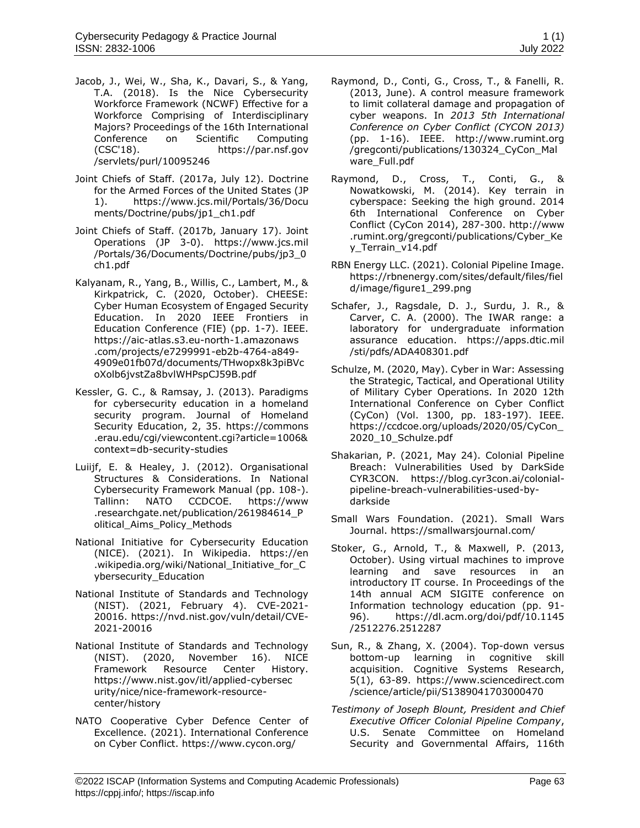- Jacob, J., Wei, W., Sha, K., Davari, S., & Yang, T.A. (2018). Is the Nice Cybersecurity Workforce Framework (NCWF) Effective for a Workforce Comprising of Interdisciplinary Majors? Proceedings of the 16th International Conference on Scientific Computing (CSC'18). [https://par.nsf.gov](https://par.nsf.gov/servlets/purl/10095246) [/servlets/purl/10095246](https://par.nsf.gov/servlets/purl/10095246)
- Joint Chiefs of Staff. (2017a, July 12). Doctrine for the Armed Forces of the United States (JP 1). [https://www.jcs.mil/Portals/36/Docu](https://www.jcs.mil/Portals/36/Documents/Doctrine/pubs/jp1_ch1.pdf) [ments/Doctrine/pubs/jp1\\_ch1.pdf](https://www.jcs.mil/Portals/36/Documents/Doctrine/pubs/jp1_ch1.pdf)
- Joint Chiefs of Staff. (2017b, January 17). Joint Operations (JP 3-0). [https://www.jcs.mil](https://www.jcs.mil/Portals/36/Documents/Doctrine/pubs/jp3_0ch1.pdf) [/Portals/36/Documents/Doctrine/pubs/jp3\\_0](https://www.jcs.mil/Portals/36/Documents/Doctrine/pubs/jp3_0ch1.pdf) [ch1.pdf](https://www.jcs.mil/Portals/36/Documents/Doctrine/pubs/jp3_0ch1.pdf)
- Kalyanam, R., Yang, B., Willis, C., Lambert, M., & Kirkpatrick, C. (2020, October). CHEESE: Cyber Human Ecosystem of Engaged Security Education. In 2020 IEEE Frontiers in Education Conference (FIE) (pp. 1-7). IEEE. [https://aic-atlas.s3.eu-north-1.amazonaws](https://aic-atlas.s3.eu-north-1.amazonaws.com/projects/e7299991-eb2b-4764-a849-4909e01fb07d/documents/THwopx8k3piBVcoXolb6jvstZa8bvlWHPspCJ59B.pdf) [.com/projects/e7299991-eb2b-4764-a849-](https://aic-atlas.s3.eu-north-1.amazonaws.com/projects/e7299991-eb2b-4764-a849-4909e01fb07d/documents/THwopx8k3piBVcoXolb6jvstZa8bvlWHPspCJ59B.pdf) [4909e01fb07d/documents/THwopx8k3piBVc](https://aic-atlas.s3.eu-north-1.amazonaws.com/projects/e7299991-eb2b-4764-a849-4909e01fb07d/documents/THwopx8k3piBVcoXolb6jvstZa8bvlWHPspCJ59B.pdf) [oXolb6jvstZa8bvlWHPspCJ59B.pdf](https://aic-atlas.s3.eu-north-1.amazonaws.com/projects/e7299991-eb2b-4764-a849-4909e01fb07d/documents/THwopx8k3piBVcoXolb6jvstZa8bvlWHPspCJ59B.pdf)
- Kessler, G. C., & Ramsay, J. (2013). Paradigms for cybersecurity education in a homeland security program. Journal of Homeland Security Education, 2, 35. [https://commons](https://commons.erau.edu/cgi/viewcontent.cgi?article=1006&context=db-security-studies) [.erau.edu/cgi/viewcontent.cgi?article=1006&](https://commons.erau.edu/cgi/viewcontent.cgi?article=1006&context=db-security-studies) [context=db-security-studies](https://commons.erau.edu/cgi/viewcontent.cgi?article=1006&context=db-security-studies)
- Luiijf, E. & Healey, J. (2012). Organisational Structures & Considerations. In National Cybersecurity Framework Manual (pp. 108-). Tallinn: NATO CCDCOE. [https://www](https://www.researchgate.net/publication/261984614_Political_Aims_Policy_Methods) [.researchgate.net/publication/261984614\\_P](https://www.researchgate.net/publication/261984614_Political_Aims_Policy_Methods) [olitical\\_Aims\\_Policy\\_Methods](https://www.researchgate.net/publication/261984614_Political_Aims_Policy_Methods)
- National Initiative for Cybersecurity Education (NICE). (2021). In Wikipedia. [https://en](https://en.wikipedia.org/wiki/National_Initiative_for_Cybersecurity_Education) [.wikipedia.org/wiki/National\\_Initiative\\_for\\_C](https://en.wikipedia.org/wiki/National_Initiative_for_Cybersecurity_Education) [ybersecurity\\_Education](https://en.wikipedia.org/wiki/National_Initiative_for_Cybersecurity_Education)
- National Institute of Standards and Technology (NIST). (2021, February 4). CVE-2021- 20016. [https://nvd.nist.gov/vuln/detail/CVE-](https://nvd.nist.gov/vuln/detail/CVE-2021-20016)[2021-20016](https://nvd.nist.gov/vuln/detail/CVE-2021-20016)
- National Institute of Standards and Technology (NIST). (2020, November 16). NICE Framework Resource Center History. [https://www.nist.gov/itl/applied-cybersec](https://www.nist.gov/itl/applied-cybersecurity/nice/nice-framework-resource-center/history) [urity/nice/nice-framework-resource](https://www.nist.gov/itl/applied-cybersecurity/nice/nice-framework-resource-center/history)[center/history](https://www.nist.gov/itl/applied-cybersecurity/nice/nice-framework-resource-center/history)
- NATO Cooperative Cyber Defence Center of Excellence. (2021). International Conference on Cyber Conflict.<https://www.cycon.org/>
- Raymond, D., Conti, G., Cross, T., & Fanelli, R. (2013, June). A control measure framework to limit collateral damage and propagation of cyber weapons. In *2013 5th International Conference on Cyber Conflict (CYCON 2013)* (pp. 1-16). IEEE. [http://www.rumint.org](http://www.rumint.org/gregconti/publications/130324_CyCon_Malware_Full.pdf) [/gregconti/publications/130324\\_CyCon\\_Mal](http://www.rumint.org/gregconti/publications/130324_CyCon_Malware_Full.pdf) [ware\\_Full.pdf](http://www.rumint.org/gregconti/publications/130324_CyCon_Malware_Full.pdf)
- Raymond, D., Cross, T., Conti, G., & Nowatkowski, M. (2014). Key terrain in cyberspace: Seeking the high ground. 2014 6th International Conference on Cyber Conflict (CyCon 2014), 287-300. [http://www](http://www.rumint.org/gregconti/publications/Cyber_Key_Terrain_v14.pdf) [.rumint.org/gregconti/publications/Cyber\\_Ke](http://www.rumint.org/gregconti/publications/Cyber_Key_Terrain_v14.pdf) [y\\_Terrain\\_v14.pdf](http://www.rumint.org/gregconti/publications/Cyber_Key_Terrain_v14.pdf)
- RBN Energy LLC. (2021). Colonial Pipeline Image. [https://rbnenergy.com/sites/default/files/fiel](https://rbnenergy.com/sites/default/files/field/image/figure1_299.png) [d/image/figure1\\_299.png](https://rbnenergy.com/sites/default/files/field/image/figure1_299.png)
- Schafer, J., Ragsdale, D. J., Surdu, J. R., & Carver, C. A. (2000). The IWAR range: a laboratory for undergraduate information assurance education. [https://apps.dtic.mil](https://apps.dtic.mil/sti/pdfs/ADA408301.pdf) [/sti/pdfs/ADA408301.pdf](https://apps.dtic.mil/sti/pdfs/ADA408301.pdf)
- Schulze, M. (2020, May). Cyber in War: Assessing the Strategic, Tactical, and Operational Utility of Military Cyber Operations. In 2020 12th International Conference on Cyber Conflict (CyCon) (Vol. 1300, pp. 183-197). IEEE. [https://ccdcoe.org/uploads/2020/05/CyCon\\_](https://ccdcoe.org/uploads/2020/05/CyCon_2020_10_Schulze.pdf) [2020\\_10\\_Schulze.pdf](https://ccdcoe.org/uploads/2020/05/CyCon_2020_10_Schulze.pdf)
- Shakarian, P. (2021, May 24). Colonial Pipeline Breach: Vulnerabilities Used by DarkSide CYR3CON. [https://blog.cyr3con.ai/colonial](https://blog.cyr3con.ai/colonial-pipeline-breach-vulnerabilities-used-by-darkside)[pipeline-breach-vulnerabilities-used-by](https://blog.cyr3con.ai/colonial-pipeline-breach-vulnerabilities-used-by-darkside)[darkside](https://blog.cyr3con.ai/colonial-pipeline-breach-vulnerabilities-used-by-darkside)
- Small Wars Foundation. (2021). Small Wars Journal.<https://smallwarsjournal.com/>
- Stoker, G., Arnold, T., & Maxwell, P. (2013, October). Using virtual machines to improve learning and save resources in an introductory IT course. In Proceedings of the 14th annual ACM SIGITE conference on Information technology education (pp. 91- 96). [https://dl.acm.org/doi/pdf/10.1145](https://dl.acm.org/doi/pdf/10.1145/2512276.2512287) [/2512276.2512287](https://dl.acm.org/doi/pdf/10.1145/2512276.2512287)
- Sun, R., & Zhang, X. (2004). Top-down versus bottom-up learning in cognitive skill acquisition. Cognitive Systems Research, 5(1), 63-89. [https://www.sciencedirect.com](https://www.sciencedirect.com/science/article/pii/S1389041703000470) [/science/article/pii/S1389041703000470](https://www.sciencedirect.com/science/article/pii/S1389041703000470)
- *Testimony of Joseph Blount, President and Chief Executive Officer Colonial Pipeline Company*, U.S. Senate Committee on Homeland Security and Governmental Affairs, 116th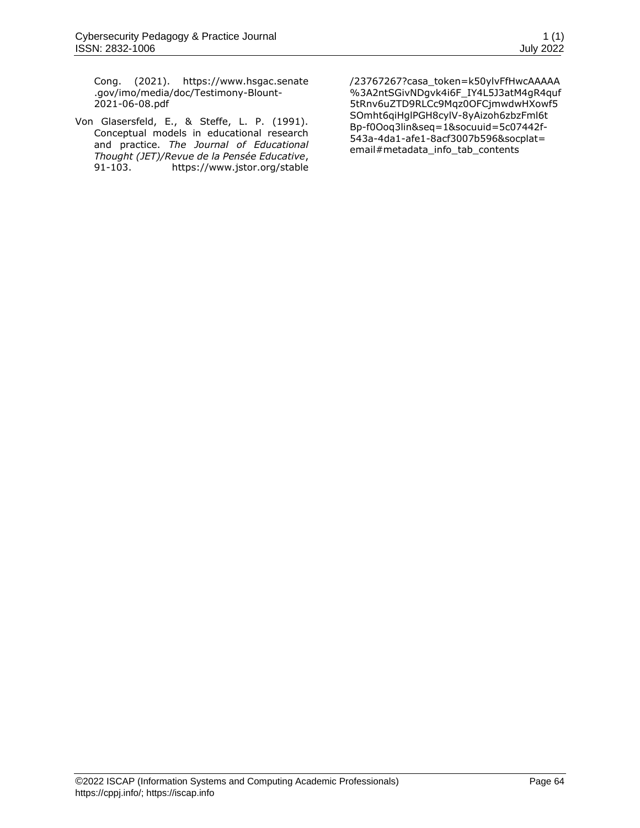Cong. (2021). [https://www.hsgac.senate](https://www.hsgac.senate.gov/imo/media/doc/Testimony-Blount-2021-06-08.pdf) [.gov/imo/media/doc/Testimony-Blount-](https://www.hsgac.senate.gov/imo/media/doc/Testimony-Blount-2021-06-08.pdf)[2021-06-08.pdf](https://www.hsgac.senate.gov/imo/media/doc/Testimony-Blount-2021-06-08.pdf)

<span id="page-13-0"></span>Von Glasersfeld, E., & Steffe, L. P. (1991). Conceptual models in educational research and practice. *The Journal of Educational Thought (JET)/Revue de la Pensée Educative*, 91-103. [https://www.jstor.org/stable](https://www.jstor.org/stable/23767267?casa_token=k50ylvFfHwcAAAAA%3A2ntSGivNDgvk4i6F_IY4L5J3atM4gR4quf5tRnv6uZTD9RLCc9Mqz0OFCjmwdwHXowf5SOmht6qiHglPGH8cylV-8yAizoh6zbzFml6tBp-f0Ooq3lin&seq=1&socuuid=5c07442f-543a-4da1-afe1-8acf3007b596&socplat=email#metadata_info_tab_contents) [/23767267?casa\\_token=k50ylvFfHwcAAAAA](https://www.jstor.org/stable/23767267?casa_token=k50ylvFfHwcAAAAA%3A2ntSGivNDgvk4i6F_IY4L5J3atM4gR4quf5tRnv6uZTD9RLCc9Mqz0OFCjmwdwHXowf5SOmht6qiHglPGH8cylV-8yAizoh6zbzFml6tBp-f0Ooq3lin&seq=1&socuuid=5c07442f-543a-4da1-afe1-8acf3007b596&socplat=email#metadata_info_tab_contents) [%3A2ntSGivNDgvk4i6F\\_IY4L5J3atM4gR4quf](https://www.jstor.org/stable/23767267?casa_token=k50ylvFfHwcAAAAA%3A2ntSGivNDgvk4i6F_IY4L5J3atM4gR4quf5tRnv6uZTD9RLCc9Mqz0OFCjmwdwHXowf5SOmht6qiHglPGH8cylV-8yAizoh6zbzFml6tBp-f0Ooq3lin&seq=1&socuuid=5c07442f-543a-4da1-afe1-8acf3007b596&socplat=email#metadata_info_tab_contents) [5tRnv6uZTD9RLCc9Mqz0OFCjmwdwHXowf5](https://www.jstor.org/stable/23767267?casa_token=k50ylvFfHwcAAAAA%3A2ntSGivNDgvk4i6F_IY4L5J3atM4gR4quf5tRnv6uZTD9RLCc9Mqz0OFCjmwdwHXowf5SOmht6qiHglPGH8cylV-8yAizoh6zbzFml6tBp-f0Ooq3lin&seq=1&socuuid=5c07442f-543a-4da1-afe1-8acf3007b596&socplat=email#metadata_info_tab_contents) [SOmht6qiHglPGH8cylV-8yAizoh6zbzFml6t](https://www.jstor.org/stable/23767267?casa_token=k50ylvFfHwcAAAAA%3A2ntSGivNDgvk4i6F_IY4L5J3atM4gR4quf5tRnv6uZTD9RLCc9Mqz0OFCjmwdwHXowf5SOmht6qiHglPGH8cylV-8yAizoh6zbzFml6tBp-f0Ooq3lin&seq=1&socuuid=5c07442f-543a-4da1-afe1-8acf3007b596&socplat=email#metadata_info_tab_contents) [Bp-f0Ooq3lin&seq=1&socuuid=5c07442f-](https://www.jstor.org/stable/23767267?casa_token=k50ylvFfHwcAAAAA%3A2ntSGivNDgvk4i6F_IY4L5J3atM4gR4quf5tRnv6uZTD9RLCc9Mqz0OFCjmwdwHXowf5SOmht6qiHglPGH8cylV-8yAizoh6zbzFml6tBp-f0Ooq3lin&seq=1&socuuid=5c07442f-543a-4da1-afe1-8acf3007b596&socplat=email#metadata_info_tab_contents)[543a-4da1-afe1-8acf3007b596&socplat=](https://www.jstor.org/stable/23767267?casa_token=k50ylvFfHwcAAAAA%3A2ntSGivNDgvk4i6F_IY4L5J3atM4gR4quf5tRnv6uZTD9RLCc9Mqz0OFCjmwdwHXowf5SOmht6qiHglPGH8cylV-8yAizoh6zbzFml6tBp-f0Ooq3lin&seq=1&socuuid=5c07442f-543a-4da1-afe1-8acf3007b596&socplat=email#metadata_info_tab_contents) [email#metadata\\_info\\_tab\\_contents](https://www.jstor.org/stable/23767267?casa_token=k50ylvFfHwcAAAAA%3A2ntSGivNDgvk4i6F_IY4L5J3atM4gR4quf5tRnv6uZTD9RLCc9Mqz0OFCjmwdwHXowf5SOmht6qiHglPGH8cylV-8yAizoh6zbzFml6tBp-f0Ooq3lin&seq=1&socuuid=5c07442f-543a-4da1-afe1-8acf3007b596&socplat=email#metadata_info_tab_contents)